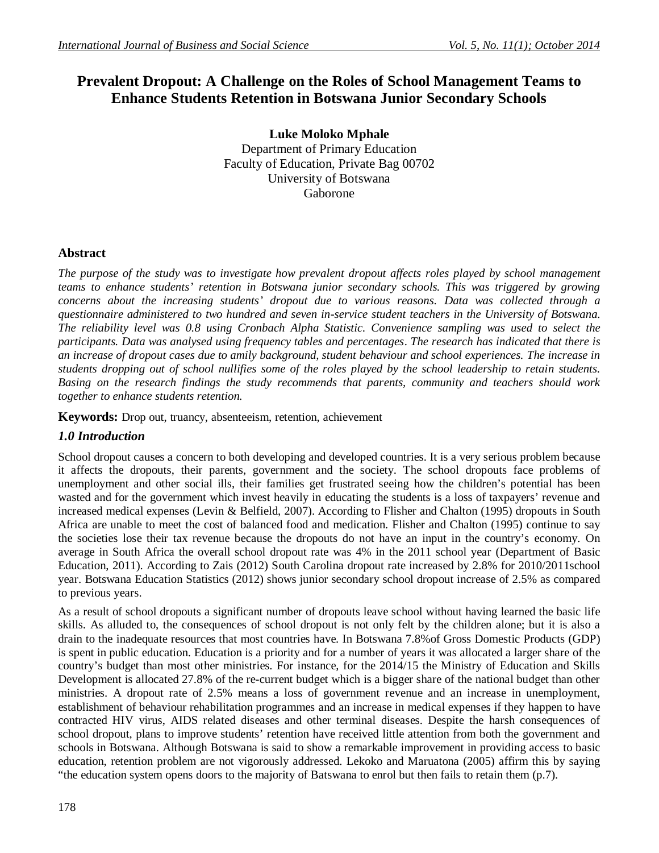# **Prevalent Dropout: A Challenge on the Roles of School Management Teams to Enhance Students Retention in Botswana Junior Secondary Schools**

**Luke Moloko Mphale** Department of Primary Education Faculty of Education, Private Bag 00702 University of Botswana Gaborone

# **Abstract**

*The purpose of the study was to investigate how prevalent dropout affects roles played by school management teams to enhance students' retention in Botswana junior secondary schools. This was triggered by growing concerns about the increasing students' dropout due to various reasons. Data was collected through a questionnaire administered to two hundred and seven in-service student teachers in the University of Botswana. The reliability level was 0.8 using Cronbach Alpha Statistic. Convenience sampling was used to select the participants. Data was analysed using frequency tables and percentages*. *The research has indicated that there is an increase of dropout cases due to amily background, student behaviour and school experiences. The increase in students dropping out of school nullifies some of the roles played by the school leadership to retain students. Basing on the research findings the study recommends that parents, community and teachers should work together to enhance students retention.*

**Keywords:** Drop out, truancy, absenteeism, retention, achievement

# *1.0 Introduction*

School dropout causes a concern to both developing and developed countries. It is a very serious problem because it affects the dropouts, their parents, government and the society. The school dropouts face problems of unemployment and other social ills, their families get frustrated seeing how the children's potential has been wasted and for the government which invest heavily in educating the students is a loss of taxpayers' revenue and increased medical expenses (Levin & Belfield, 2007). According to Flisher and Chalton (1995) dropouts in South Africa are unable to meet the cost of balanced food and medication. Flisher and Chalton (1995) continue to say the societies lose their tax revenue because the dropouts do not have an input in the country's economy. On average in South Africa the overall school dropout rate was 4% in the 2011 school year (Department of Basic Education, 2011). According to Zais (2012) South Carolina dropout rate increased by 2.8% for 2010/2011school year. Botswana Education Statistics (2012) shows junior secondary school dropout increase of 2.5% as compared to previous years.

As a result of school dropouts a significant number of dropouts leave school without having learned the basic life skills. As alluded to, the consequences of school dropout is not only felt by the children alone; but it is also a drain to the inadequate resources that most countries have. In Botswana 7.8%of Gross Domestic Products (GDP) is spent in public education. Education is a priority and for a number of years it was allocated a larger share of the country's budget than most other ministries. For instance, for the 2014/15 the Ministry of Education and Skills Development is allocated 27.8% of the re-current budget which is a bigger share of the national budget than other ministries. A dropout rate of 2.5% means a loss of government revenue and an increase in unemployment, establishment of behaviour rehabilitation programmes and an increase in medical expenses if they happen to have contracted HIV virus, AIDS related diseases and other terminal diseases. Despite the harsh consequences of school dropout, plans to improve students' retention have received little attention from both the government and schools in Botswana. Although Botswana is said to show a remarkable improvement in providing access to basic education, retention problem are not vigorously addressed. Lekoko and Maruatona (2005) affirm this by saying "the education system opens doors to the majority of Batswana to enrol but then fails to retain them (p.7).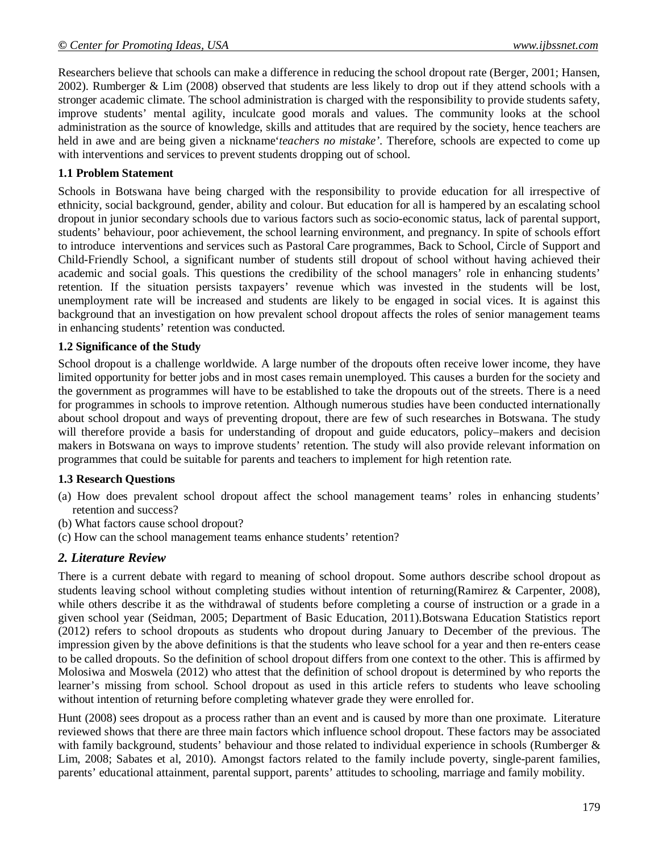Researchers believe that schools can make a difference in reducing the school dropout rate (Berger, 2001; Hansen, 2002). Rumberger & Lim (2008) observed that students are less likely to drop out if they attend schools with a stronger academic climate. The school administration is charged with the responsibility to provide students safety, improve students' mental agility, inculcate good morals and values. The community looks at the school administration as the source of knowledge, skills and attitudes that are required by the society, hence teachers are held in awe and are being given a nickname'*teachers no mistake'*. Therefore, schools are expected to come up with interventions and services to prevent students dropping out of school.

#### **1.1 Problem Statement**

Schools in Botswana have being charged with the responsibility to provide education for all irrespective of ethnicity, social background, gender, ability and colour. But education for all is hampered by an escalating school dropout in junior secondary schools due to various factors such as socio-economic status, lack of parental support, students' behaviour, poor achievement, the school learning environment, and pregnancy. In spite of schools effort to introduce interventions and services such as Pastoral Care programmes, Back to School, Circle of Support and Child-Friendly School, a significant number of students still dropout of school without having achieved their academic and social goals. This questions the credibility of the school managers' role in enhancing students' retention. If the situation persists taxpayers' revenue which was invested in the students will be lost, unemployment rate will be increased and students are likely to be engaged in social vices. It is against this background that an investigation on how prevalent school dropout affects the roles of senior management teams in enhancing students' retention was conducted.

#### **1.2 Significance of the Study**

School dropout is a challenge worldwide. A large number of the dropouts often receive lower income, they have limited opportunity for better jobs and in most cases remain unemployed. This causes a burden for the society and the government as programmes will have to be established to take the dropouts out of the streets. There is a need for programmes in schools to improve retention. Although numerous studies have been conducted internationally about school dropout and ways of preventing dropout, there are few of such researches in Botswana. The study will therefore provide a basis for understanding of dropout and guide educators, policy–makers and decision makers in Botswana on ways to improve students' retention. The study will also provide relevant information on programmes that could be suitable for parents and teachers to implement for high retention rate.

#### **1.3 Research Questions**

- (a) How does prevalent school dropout affect the school management teams' roles in enhancing students' retention and success?
- (b) What factors cause school dropout?
- (c) How can the school management teams enhance students' retention?

#### *2. Literature Review*

There is a current debate with regard to meaning of school dropout. Some authors describe school dropout as students leaving school without completing studies without intention of returning(Ramirez & Carpenter, 2008), while others describe it as the withdrawal of students before completing a course of instruction or a grade in a given school year (Seidman, 2005; Department of Basic Education, 2011).Botswana Education Statistics report (2012) refers to school dropouts as students who dropout during January to December of the previous. The impression given by the above definitions is that the students who leave school for a year and then re-enters cease to be called dropouts. So the definition of school dropout differs from one context to the other. This is affirmed by Molosiwa and Moswela (2012) who attest that the definition of school dropout is determined by who reports the learner's missing from school. School dropout as used in this article refers to students who leave schooling without intention of returning before completing whatever grade they were enrolled for.

Hunt (2008) sees dropout as a process rather than an event and is caused by more than one proximate. Literature reviewed shows that there are three main factors which influence school dropout. These factors may be associated with family background, students' behaviour and those related to individual experience in schools (Rumberger & Lim, 2008; Sabates et al, 2010). Amongst factors related to the family include poverty, single-parent families, parents' educational attainment, parental support, parents' attitudes to schooling, marriage and family mobility.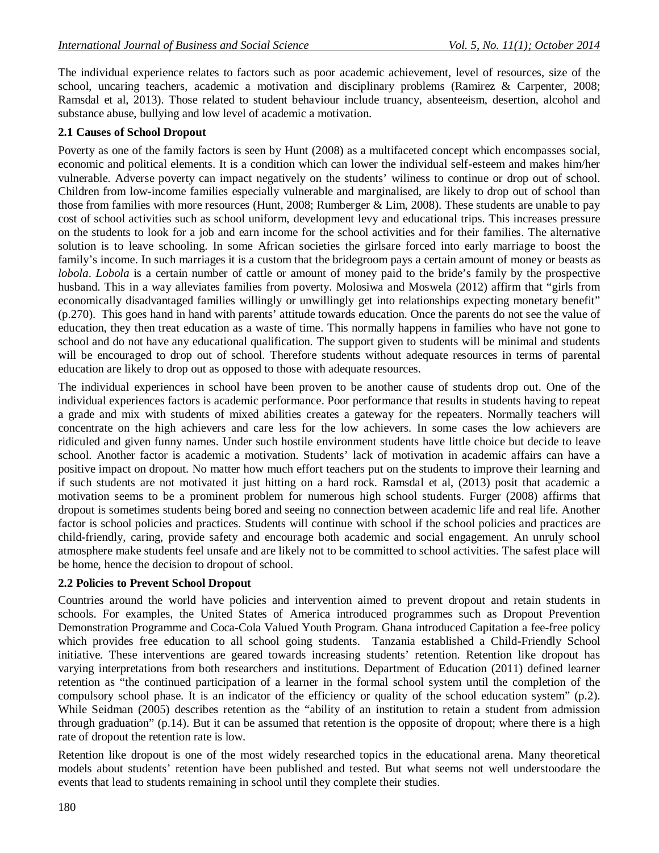The individual experience relates to factors such as poor academic achievement, level of resources, size of the school, uncaring teachers, academic a motivation and disciplinary problems (Ramirez & Carpenter, 2008; Ramsdal et al, 2013). Those related to student behaviour include truancy, absenteeism, desertion, alcohol and substance abuse, bullying and low level of academic a motivation.

#### **2.1 Causes of School Dropout**

Poverty as one of the family factors is seen by Hunt (2008) as a multifaceted concept which encompasses social, economic and political elements. It is a condition which can lower the individual self-esteem and makes him/her vulnerable. Adverse poverty can impact negatively on the students' wiliness to continue or drop out of school. Children from low-income families especially vulnerable and marginalised, are likely to drop out of school than those from families with more resources (Hunt, 2008; Rumberger & Lim, 2008). These students are unable to pay cost of school activities such as school uniform, development levy and educational trips. This increases pressure on the students to look for a job and earn income for the school activities and for their families. The alternative solution is to leave schooling. In some African societies the girlsare forced into early marriage to boost the family's income. In such marriages it is a custom that the bridegroom pays a certain amount of money or beasts as *lobola*. *Lobola* is a certain number of cattle or amount of money paid to the bride's family by the prospective husband. This in a way alleviates families from poverty. Molosiwa and Moswela (2012) affirm that "girls from economically disadvantaged families willingly or unwillingly get into relationships expecting monetary benefit" (p.270). This goes hand in hand with parents' attitude towards education. Once the parents do not see the value of education, they then treat education as a waste of time. This normally happens in families who have not gone to school and do not have any educational qualification. The support given to students will be minimal and students will be encouraged to drop out of school. Therefore students without adequate resources in terms of parental education are likely to drop out as opposed to those with adequate resources.

The individual experiences in school have been proven to be another cause of students drop out. One of the individual experiences factors is academic performance. Poor performance that results in students having to repeat a grade and mix with students of mixed abilities creates a gateway for the repeaters. Normally teachers will concentrate on the high achievers and care less for the low achievers. In some cases the low achievers are ridiculed and given funny names. Under such hostile environment students have little choice but decide to leave school. Another factor is academic a motivation. Students' lack of motivation in academic affairs can have a positive impact on dropout. No matter how much effort teachers put on the students to improve their learning and if such students are not motivated it just hitting on a hard rock. Ramsdal et al, (2013) posit that academic a motivation seems to be a prominent problem for numerous high school students. Furger (2008) affirms that dropout is sometimes students being bored and seeing no connection between academic life and real life. Another factor is school policies and practices. Students will continue with school if the school policies and practices are child-friendly, caring, provide safety and encourage both academic and social engagement. An unruly school atmosphere make students feel unsafe and are likely not to be committed to school activities. The safest place will be home, hence the decision to dropout of school.

### **2.2 Policies to Prevent School Dropout**

Countries around the world have policies and intervention aimed to prevent dropout and retain students in schools. For examples, the United States of America introduced programmes such as Dropout Prevention Demonstration Programme and Coca-Cola Valued Youth Program. Ghana introduced Capitation a fee-free policy which provides free education to all school going students. Tanzania established a Child-Friendly School initiative. These interventions are geared towards increasing students' retention. Retention like dropout has varying interpretations from both researchers and institutions. Department of Education (2011) defined learner retention as "the continued participation of a learner in the formal school system until the completion of the compulsory school phase. It is an indicator of the efficiency or quality of the school education system" (p.2). While Seidman (2005) describes retention as the "ability of an institution to retain a student from admission through graduation" (p.14). But it can be assumed that retention is the opposite of dropout; where there is a high rate of dropout the retention rate is low.

Retention like dropout is one of the most widely researched topics in the educational arena. Many theoretical models about students' retention have been published and tested. But what seems not well understoodare the events that lead to students remaining in school until they complete their studies.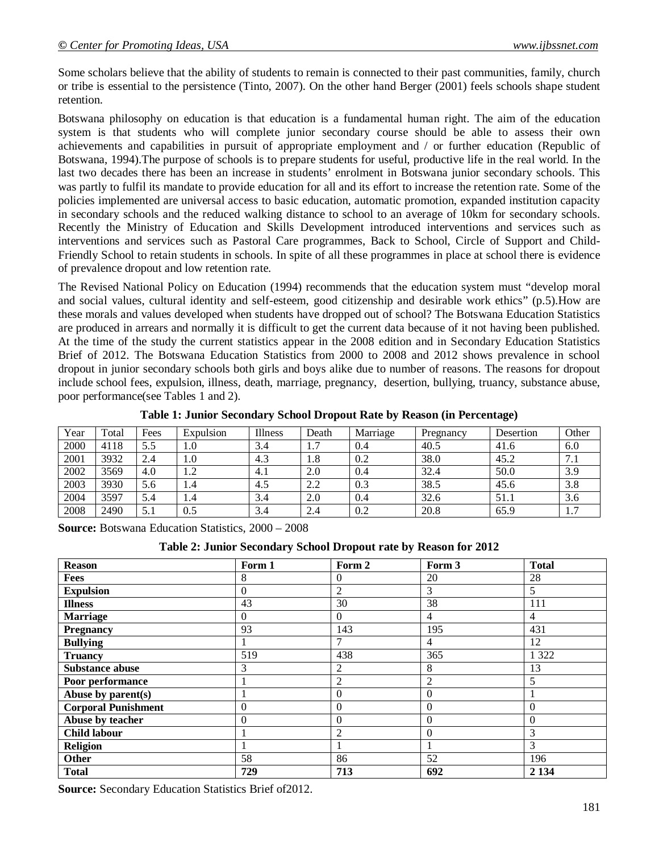Some scholars believe that the ability of students to remain is connected to their past communities, family, church or tribe is essential to the persistence (Tinto, 2007). On the other hand Berger (2001) feels schools shape student retention.

Botswana philosophy on education is that education is a fundamental human right. The aim of the education system is that students who will complete junior secondary course should be able to assess their own achievements and capabilities in pursuit of appropriate employment and / or further education (Republic of Botswana, 1994).The purpose of schools is to prepare students for useful, productive life in the real world. In the last two decades there has been an increase in students' enrolment in Botswana junior secondary schools. This was partly to fulfil its mandate to provide education for all and its effort to increase the retention rate. Some of the policies implemented are universal access to basic education, automatic promotion, expanded institution capacity in secondary schools and the reduced walking distance to school to an average of 10km for secondary schools. Recently the Ministry of Education and Skills Development introduced interventions and services such as interventions and services such as Pastoral Care programmes, Back to School, Circle of Support and Child-Friendly School to retain students in schools. In spite of all these programmes in place at school there is evidence of prevalence dropout and low retention rate.

The Revised National Policy on Education (1994) recommends that the education system must "develop moral and social values, cultural identity and self-esteem, good citizenship and desirable work ethics" (p.5).How are these morals and values developed when students have dropped out of school? The Botswana Education Statistics are produced in arrears and normally it is difficult to get the current data because of it not having been published. At the time of the study the current statistics appear in the 2008 edition and in Secondary Education Statistics Brief of 2012. The Botswana Education Statistics from 2000 to 2008 and 2012 shows prevalence in school dropout in junior secondary schools both girls and boys alike due to number of reasons. The reasons for dropout include school fees, expulsion, illness, death, marriage, pregnancy, desertion, bullying, truancy, substance abuse, poor performance(see Tables 1 and 2).

| Year | Total | Fees | Expulsion | Illness | Death                | Marriage | Pregnancy | Desertion | Other    |
|------|-------|------|-----------|---------|----------------------|----------|-----------|-----------|----------|
| 2000 | 4118  | 5.5  | 0.1       | 3.4     | $\mathcal{L}$<br>1., | 0.4      | 40.5      | 41.6      | 6.0      |
| 2001 | 3932  | 2.4  | 1.0       | 4.3     | 1.8                  | 0.2      | 38.0      | 45.2      | 7.1      |
| 2002 | 3569  | 4.0  | 1.2       | 4.1     | 2.0                  | 0.4      | 32.4      | 50.0      | 3.9      |
| 2003 | 3930  | 5.6  | 1.4       | 4.5     | 2.2                  | 0.3      | 38.5      | 45.6      | 3.8      |
| 2004 | 3597  | 5.4  | 1.4       | 3.4     | 2.0                  | 0.4      | 32.6      | 51.1      | 3.6      |
| 2008 | 2490  | 5.1  | 0.5       | 3.4     | 2.4                  | 0.2      | 20.8      | 65.9      | −<br>1.1 |

**Table 1: Junior Secondary School Dropout Rate by Reason (in Percentage)**

**Source:** Botswana Education Statistics, 2000 – 2008

| Table 2: Junior Secondary School Dropout rate by Reason for 2012 |  |  |
|------------------------------------------------------------------|--|--|
|                                                                  |  |  |

| <b>Reason</b>              | Form 1   | Form 2         | Form 3         | <b>Total</b> |
|----------------------------|----------|----------------|----------------|--------------|
| Fees                       | 8        | $\theta$       | 20             | 28           |
| <b>Expulsion</b>           | $\theta$ | 2              | 3              | 5            |
| <b>Illness</b>             | 43       | 30             | 38             | 111          |
| <b>Marriage</b>            | $\Omega$ | $\Omega$       | $\overline{4}$ | 4            |
| <b>Pregnancy</b>           | 93       | 143            | 195            | 431          |
| <b>Bullying</b>            |          | 7              | $\overline{4}$ | 12           |
| <b>Truancy</b>             | 519      | 438            | 365            | 1 3 2 2      |
| <b>Substance abuse</b>     | 3        | 2              | 8              | 13           |
| Poor performance           |          | $\overline{2}$ | $\overline{2}$ | 5            |
| Abuse by parent(s)         |          | $\overline{0}$ | $\Omega$       |              |
| <b>Corporal Punishment</b> | $\theta$ | $\overline{0}$ | $\Omega$       | $\Omega$     |
| Abuse by teacher           | $\Omega$ | $\theta$       | $\Omega$       | $\Omega$     |
| <b>Child labour</b>        |          | $\overline{2}$ | $\overline{0}$ | 3            |
| Religion                   |          | 1              |                | 3            |
| Other                      | 58       | 86             | 52             | 196          |
| <b>Total</b>               | 729      | 713            | 692            | 2 1 3 4      |

**Source:** Secondary Education Statistics Brief of2012.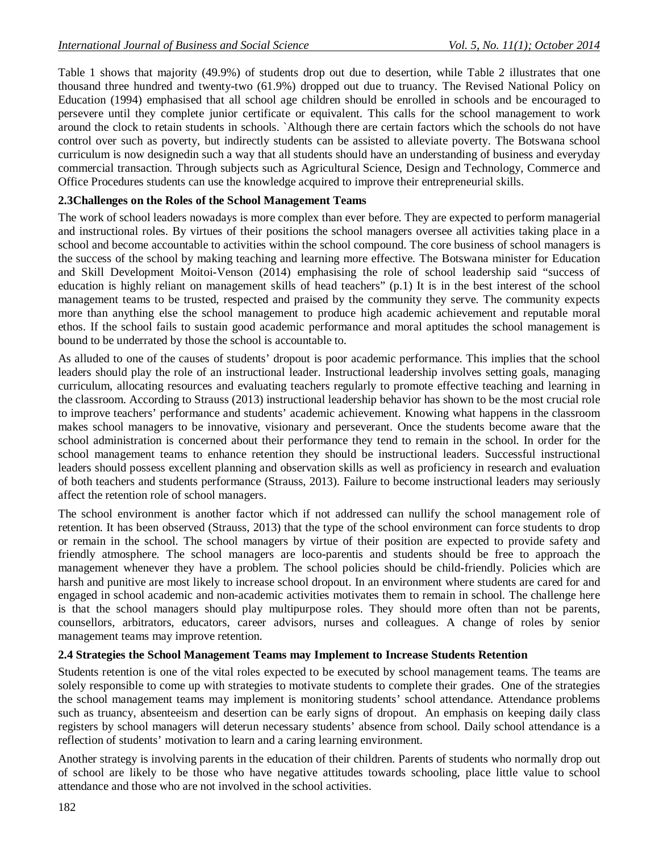Table 1 shows that majority (49.9%) of students drop out due to desertion, while Table 2 illustrates that one thousand three hundred and twenty-two (61.9%) dropped out due to truancy. The Revised National Policy on Education (1994) emphasised that all school age children should be enrolled in schools and be encouraged to persevere until they complete junior certificate or equivalent. This calls for the school management to work around the clock to retain students in schools. `Although there are certain factors which the schools do not have control over such as poverty, but indirectly students can be assisted to alleviate poverty. The Botswana school curriculum is now designedin such a way that all students should have an understanding of business and everyday commercial transaction. Through subjects such as Agricultural Science, Design and Technology, Commerce and Office Procedures students can use the knowledge acquired to improve their entrepreneurial skills.

#### **2.3Challenges on the Roles of the School Management Teams**

The work of school leaders nowadays is more complex than ever before. They are expected to perform managerial and instructional roles. By virtues of their positions the school managers oversee all activities taking place in a school and become accountable to activities within the school compound. The core business of school managers is the success of the school by making teaching and learning more effective. The Botswana minister for Education and Skill Development Moitoi-Venson (2014) emphasising the role of school leadership said "success of education is highly reliant on management skills of head teachers" (p.1) It is in the best interest of the school management teams to be trusted, respected and praised by the community they serve. The community expects more than anything else the school management to produce high academic achievement and reputable moral ethos. If the school fails to sustain good academic performance and moral aptitudes the school management is bound to be underrated by those the school is accountable to.

As alluded to one of the causes of students' dropout is poor academic performance. This implies that the school leaders should play the role of an instructional leader. Instructional leadership involves setting goals, managing curriculum, allocating resources and evaluating teachers regularly to promote effective teaching and learning in the classroom. According to Strauss (2013) instructional leadership behavior has shown to be the most crucial role to improve teachers' performance and students' academic achievement. Knowing what happens in the classroom makes school managers to be innovative, visionary and perseverant. Once the students become aware that the school administration is concerned about their performance they tend to remain in the school. In order for the school management teams to enhance retention they should be instructional leaders. Successful instructional leaders should possess excellent planning and observation skills as well as proficiency in research and evaluation of both teachers and students performance (Strauss, 2013). Failure to become instructional leaders may seriously affect the retention role of school managers.

The school environment is another factor which if not addressed can nullify the school management role of retention. It has been observed (Strauss, 2013) that the type of the school environment can force students to drop or remain in the school. The school managers by virtue of their position are expected to provide safety and friendly atmosphere. The school managers are loco-parentis and students should be free to approach the management whenever they have a problem. The school policies should be child-friendly. Policies which are harsh and punitive are most likely to increase school dropout. In an environment where students are cared for and engaged in school academic and non-academic activities motivates them to remain in school. The challenge here is that the school managers should play multipurpose roles. They should more often than not be parents, counsellors, arbitrators, educators, career advisors, nurses and colleagues. A change of roles by senior management teams may improve retention.

### **2.4 Strategies the School Management Teams may Implement to Increase Students Retention**

Students retention is one of the vital roles expected to be executed by school management teams. The teams are solely responsible to come up with strategies to motivate students to complete their grades. One of the strategies the school management teams may implement is monitoring students' school attendance. Attendance problems such as truancy, absenteeism and desertion can be early signs of dropout. An emphasis on keeping daily class registers by school managers will deterun necessary students' absence from school. Daily school attendance is a reflection of students' motivation to learn and a caring learning environment.

Another strategy is involving parents in the education of their children. Parents of students who normally drop out of school are likely to be those who have negative attitudes towards schooling, place little value to school attendance and those who are not involved in the school activities.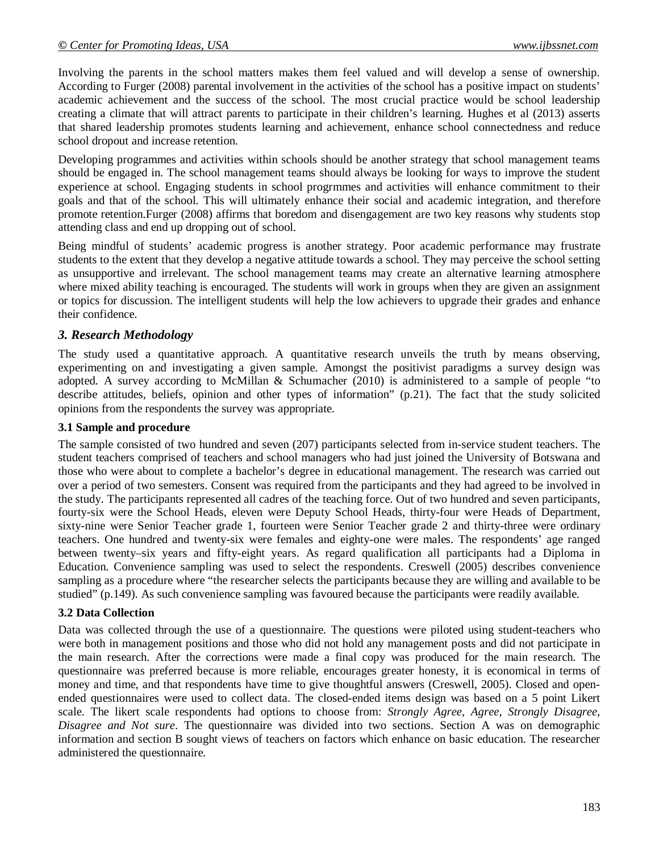Involving the parents in the school matters makes them feel valued and will develop a sense of ownership. According to Furger (2008) parental involvement in the activities of the school has a positive impact on students' academic achievement and the success of the school. The most crucial practice would be school leadership creating a climate that will attract parents to participate in their children's learning. Hughes et al (2013) asserts that shared leadership promotes students learning and achievement, enhance school connectedness and reduce school dropout and increase retention.

Developing programmes and activities within schools should be another strategy that school management teams should be engaged in. The school management teams should always be looking for ways to improve the student experience at school. Engaging students in school progrmmes and activities will enhance commitment to their goals and that of the school. This will ultimately enhance their social and academic integration, and therefore promote retention.Furger (2008) affirms that boredom and disengagement are two key reasons why students stop attending class and end up dropping out of school.

Being mindful of students' academic progress is another strategy. Poor academic performance may frustrate students to the extent that they develop a negative attitude towards a school. They may perceive the school setting as unsupportive and irrelevant. The school management teams may create an alternative learning atmosphere where mixed ability teaching is encouraged. The students will work in groups when they are given an assignment or topics for discussion. The intelligent students will help the low achievers to upgrade their grades and enhance their confidence.

### *3. Research Methodology*

The study used a quantitative approach. A quantitative research unveils the truth by means observing, experimenting on and investigating a given sample. Amongst the positivist paradigms a survey design was adopted. A survey according to McMillan & Schumacher (2010) is administered to a sample of people "to describe attitudes, beliefs, opinion and other types of information" (p.21). The fact that the study solicited opinions from the respondents the survey was appropriate.

#### **3.1 Sample and procedure**

The sample consisted of two hundred and seven (207) participants selected from in-service student teachers. The student teachers comprised of teachers and school managers who had just joined the University of Botswana and those who were about to complete a bachelor's degree in educational management. The research was carried out over a period of two semesters. Consent was required from the participants and they had agreed to be involved in the study. The participants represented all cadres of the teaching force. Out of two hundred and seven participants, fourty-six were the School Heads, eleven were Deputy School Heads, thirty-four were Heads of Department, sixty-nine were Senior Teacher grade 1, fourteen were Senior Teacher grade 2 and thirty-three were ordinary teachers. One hundred and twenty-six were females and eighty-one were males. The respondents' age ranged between twenty–six years and fifty-eight years. As regard qualification all participants had a Diploma in Education. Convenience sampling was used to select the respondents. Creswell (2005) describes convenience sampling as a procedure where "the researcher selects the participants because they are willing and available to be studied" (p.149). As such convenience sampling was favoured because the participants were readily available.

#### **3.2 Data Collection**

Data was collected through the use of a questionnaire. The questions were piloted using student-teachers who were both in management positions and those who did not hold any management posts and did not participate in the main research. After the corrections were made a final copy was produced for the main research. The questionnaire was preferred because is more reliable, encourages greater honesty, it is economical in terms of money and time, and that respondents have time to give thoughtful answers (Creswell, 2005). Closed and openended questionnaires were used to collect data. The closed-ended items design was based on a 5 point Likert scale. The likert scale respondents had options to choose from: *Strongly Agree, Agree, Strongly Disagree, Disagree and Not sure*. The questionnaire was divided into two sections. Section A was on demographic information and section B sought views of teachers on factors which enhance on basic education. The researcher administered the questionnaire.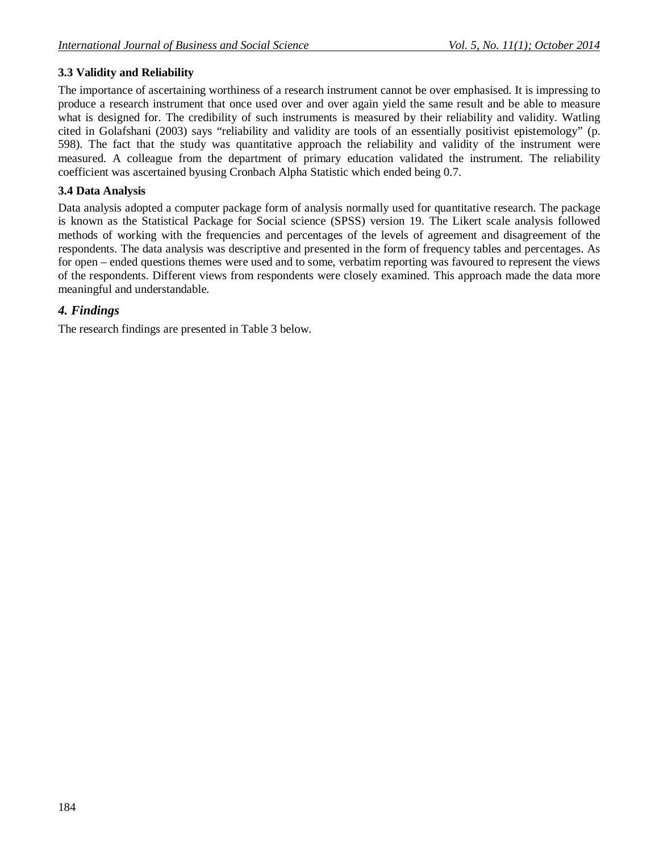# **3.3 Validity and Reliability**

The importance of ascertaining worthiness of a research instrument cannot be over emphasised. It is impressing to produce a research instrument that once used over and over again yield the same result and be able to measure what is designed for. The credibility of such instruments is measured by their reliability and validity. Watling cited in Golafshani (2003) says "reliability and validity are tools of an essentially positivist epistemology" (p. 598). The fact that the study was quantitative approach the reliability and validity of the instrument were measured. A colleague from the department of primary education validated the instrument. The reliability coefficient was ascertained byusing Cronbach Alpha Statistic which ended being 0.7.

#### **3.4 Data Analysis**

Data analysis adopted a computer package form of analysis normally used for quantitative research. The package is known as the Statistical Package for Social science (SPSS) version 19. The Likert scale analysis followed methods of working with the frequencies and percentages of the levels of agreement and disagreement of the respondents. The data analysis was descriptive and presented in the form of frequency tables and percentages. As for open – ended questions themes were used and to some, verbatim reporting was favoured to represent the views of the respondents. Different views from respondents were closely examined. This approach made the data more meaningful and understandable.

# *4. Findings*

The research findings are presented in Table 3 below.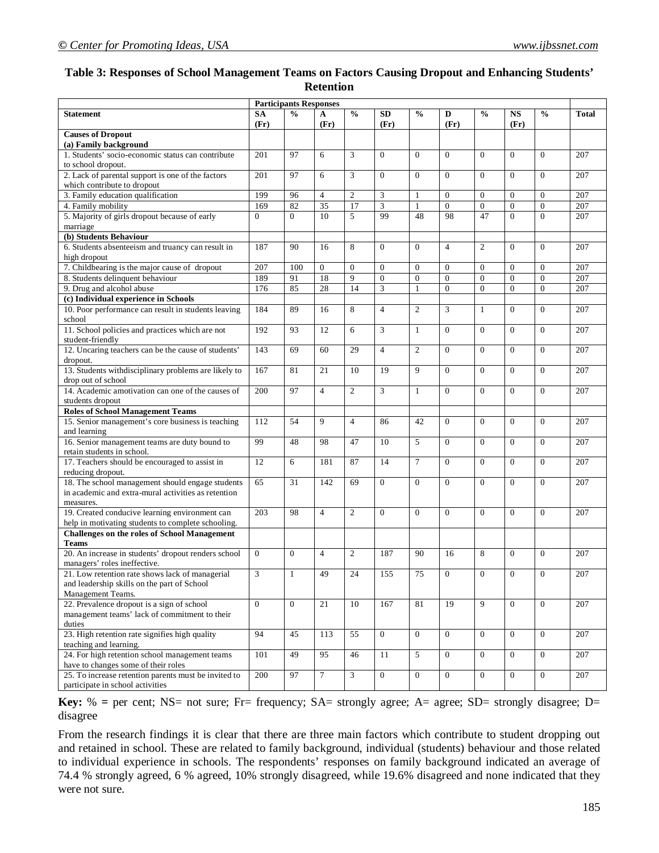### **Table 3: Responses of School Management Teams on Factors Causing Dropout and Enhancing Students' Retention**

|                                                                       | <b>Participants Responses</b> |                 |                 |                |                  |                |                  |                |                  |                  |                  |
|-----------------------------------------------------------------------|-------------------------------|-----------------|-----------------|----------------|------------------|----------------|------------------|----------------|------------------|------------------|------------------|
| <b>Statement</b>                                                      | <b>SA</b>                     | $\frac{0}{0}$   | A               | $\frac{0}{0}$  | <b>SD</b>        | $\frac{0}{0}$  | D                | $\frac{0}{0}$  | <b>NS</b>        | $\frac{0}{0}$    | <b>Total</b>     |
|                                                                       | (Fr)                          |                 | (Fr)            |                | (Fr)             |                | (Fr)             |                | (Fr)             |                  |                  |
| <b>Causes of Dropout</b>                                              |                               |                 |                 |                |                  |                |                  |                |                  |                  |                  |
| (a) Family background                                                 |                               |                 |                 |                |                  |                |                  |                |                  |                  |                  |
| 1. Students' socio-economic status can contribute                     | 201                           | 97              | 6               | 3              | $\mathbf{0}$     | $\Omega$       | $\mathbf{0}$     | $\Omega$       | $\mathbf{0}$     | $\mathbf{0}$     | 207              |
| to school dropout.                                                    |                               |                 |                 |                |                  |                |                  |                |                  |                  |                  |
| 2. Lack of parental support is one of the factors                     | 201                           | 97              | 6               | 3              | $\mathbf{0}$     | $\mathbf{0}$   | $\mathbf{0}$     | $\Omega$       | $\Omega$         | $\mathbf{0}$     | 207              |
| which contribute to dropout                                           |                               |                 |                 |                |                  |                |                  |                |                  |                  |                  |
| 3. Family education qualification                                     | 199                           | 96              | $\overline{4}$  | $\overline{c}$ | 3                | $\mathbf{1}$   | $\Omega$         | $\Omega$       | $\Omega$         | $\mathbf{0}$     | 207              |
| 4. Family mobility                                                    | 169                           | 82              | $\overline{35}$ | 17             | 3                | $\mathbf{1}$   | $\overline{0}$   | $\mathbf{0}$   | $\boldsymbol{0}$ | $\boldsymbol{0}$ | 207              |
| 5. Majority of girls dropout because of early                         | $\Omega$                      | $\Omega$        | 10              | 5              | 99               | 48             | 98               | 47             | $\Omega$         | $\Omega$         | 207              |
| marriage                                                              |                               |                 |                 |                |                  |                |                  |                |                  |                  |                  |
| (b) Students Behaviour                                                |                               |                 |                 |                |                  |                |                  |                |                  |                  |                  |
| 6. Students absenteeism and truancy can result in                     | 187                           | 90              | 16              | 8              | $\Omega$         | $\Omega$       | $\overline{4}$   | $\overline{2}$ | $\Omega$         | $\Omega$         | 207              |
| high dropout                                                          |                               |                 |                 |                |                  |                |                  |                |                  |                  |                  |
| 7. Childbearing is the major cause of dropout                         | 207                           | 100             | $\overline{0}$  | $\mathbf{0}$   | $\overline{0}$   | $\mathbf{0}$   | $\Omega$         | $\Omega$       | $\mathbf{0}$     | $\mathbf{0}$     | 207              |
| 8. Students delinquent behaviour                                      | 189                           | 91              | 18              | 9              | $\boldsymbol{0}$ | $\mathbf{0}$   | $\mathbf{0}$     | $\overline{0}$ | $\mathbf{0}$     | $\boldsymbol{0}$ | 207              |
| 9. Drug and alcohol abuse                                             | 176                           | 85              | 28              | 14             | 3                | $\mathbf{1}$   | $\overline{0}$   | $\Omega$       | $\Omega$         | $\mathbf{0}$     | 207              |
| (c) Individual experience in Schools                                  |                               |                 |                 |                |                  |                |                  |                |                  |                  |                  |
| 10. Poor performance can result in students leaving<br>school         | 184                           | 89              | 16              | 8              | $\overline{4}$   | $\overline{c}$ | 3                | $\mathbf{1}$   | $\Omega$         | $\mathbf{0}$     | 207              |
| 11. School policies and practices which are not                       | 192                           | 93              | 12              | 6              | 3                | $\mathbf{1}$   | $\Omega$         | $\Omega$       | $\Omega$         | $\Omega$         | 207              |
| student-friendly                                                      |                               |                 |                 |                |                  |                |                  |                |                  |                  |                  |
| 12. Uncaring teachers can be the cause of students'                   | 143                           | 69              | 60              | 29             | $\overline{4}$   | $\overline{c}$ | $\Omega$         | $\Omega$       | $\Omega$         | $\mathbf{0}$     | 207              |
| dropout.                                                              |                               |                 |                 |                |                  |                |                  |                |                  |                  |                  |
| 13. Students withdisciplinary problems are likely to                  | 167                           | 81              | 21              | 10             | 19               | 9              | $\overline{0}$   | $\Omega$       | $\Omega$         | $\mathbf{0}$     | 207              |
| drop out of school                                                    |                               |                 |                 |                |                  |                |                  |                |                  |                  |                  |
| 14. Academic amotivation can one of the causes of                     | 200                           | 97              | $\overline{4}$  | $\overline{2}$ | 3                | $\mathbf{1}$   | $\Omega$         | $\Omega$       | $\Omega$         | $\Omega$         | 207              |
| students dropout                                                      |                               |                 |                 |                |                  |                |                  |                |                  |                  |                  |
| <b>Roles of School Management Teams</b>                               |                               |                 |                 |                |                  |                |                  |                |                  |                  |                  |
| 15. Senior management's core business is teaching                     | 112                           | 54              | 9               | $\overline{4}$ | 86               | 42             | $\overline{0}$   | $\Omega$       | $\Omega$         | $\Omega$         | 207              |
| and learning                                                          |                               |                 |                 |                |                  |                |                  |                |                  |                  |                  |
| 16. Senior management teams are duty bound to                         | 99                            | 48              | 98              | 47             | 10               | 5              | $\Omega$         | $\Omega$       | $\Omega$         | $\mathbf{0}$     | 207              |
| retain students in school.                                            |                               |                 |                 |                |                  |                |                  |                |                  |                  |                  |
| 17. Teachers should be encouraged to assist in                        | 12                            | 6               | 181             | 87             | 14               | $\overline{7}$ | $\Omega$         | $\Omega$       | $\Omega$         | $\Omega$         | 207              |
| reducing dropout.<br>18. The school management should engage students | 65                            | $\overline{31}$ | 142             | 69             | $\mathbf{0}$     | $\Omega$       | $\Omega$         | $\Omega$       | $\Omega$         | $\Omega$         | 207              |
| in academic and extra-mural activities as retention                   |                               |                 |                 |                |                  |                |                  |                |                  |                  |                  |
| measures.                                                             |                               |                 |                 |                |                  |                |                  |                |                  |                  |                  |
| 19. Created conducive learning environment can                        | 203                           | 98              | $\overline{4}$  | $\overline{2}$ | $\mathbf{0}$     | $\Omega$       | $\Omega$         | $\Omega$       | $\mathbf{0}$     | $\mathbf{0}$     | 207              |
| help in motivating students to complete schooling.                    |                               |                 |                 |                |                  |                |                  |                |                  |                  |                  |
| <b>Challenges on the roles of School Management</b>                   |                               |                 |                 |                |                  |                |                  |                |                  |                  |                  |
| <b>Teams</b>                                                          |                               |                 |                 |                |                  |                |                  |                |                  |                  |                  |
| 20. An increase in students' dropout renders school                   | $\Omega$                      | $\Omega$        | $\overline{4}$  | $\overline{2}$ | 187              | 90             | 16               | 8              | $\Omega$         | $\mathbf{0}$     | 207              |
| managers' roles ineffective.                                          |                               |                 |                 |                |                  |                |                  |                |                  |                  |                  |
| 21. Low retention rate shows lack of managerial                       | 3                             | $\mathbf{1}$    | 49              | 24             | 155              | 75             | $\boldsymbol{0}$ | $\mathbf{0}$   | $\boldsymbol{0}$ | $\boldsymbol{0}$ | 207              |
| and leadership skills on the part of School                           |                               |                 |                 |                |                  |                |                  |                |                  |                  |                  |
| Management Teams.                                                     |                               |                 |                 |                |                  |                |                  |                |                  |                  |                  |
| 22. Prevalence dropout is a sign of school                            | $\Omega$                      | $\overline{0}$  | $\overline{21}$ | 10             | 167              | 81             | $\overline{19}$  | 9              | $\overline{0}$   | $\overline{0}$   | $\overline{207}$ |
| management teams' lack of commitment to their                         |                               |                 |                 |                |                  |                |                  |                |                  |                  |                  |
| duties                                                                |                               |                 |                 |                |                  |                |                  |                |                  |                  |                  |
| 23. High retention rate signifies high quality                        | 94                            | 45              | 113             | 55             | $\overline{0}$   | $\mathbf{0}$   | $\overline{0}$   | $\overline{0}$ | $\overline{0}$   | $\overline{0}$   | 207              |
| teaching and learning.                                                |                               |                 |                 |                |                  |                |                  |                |                  |                  |                  |
| 24. For high retention school management teams                        | 101                           | 49              | 95              | 46             | $11\,$           | 5              | $\overline{0}$   | $\overline{0}$ | $\overline{0}$   | $\mathbf{0}$     | 207              |
| have to changes some of their roles                                   |                               |                 |                 |                |                  |                |                  |                |                  |                  |                  |
| 25. To increase retention parents must be invited to                  | 200                           | 97              | $\overline{7}$  | 3              | $\overline{0}$   | $\overline{0}$ | $\overline{0}$   | $\overline{0}$ | $\overline{0}$   | $\overline{0}$   | 207              |
| participate in school activities                                      |                               |                 |                 |                |                  |                |                  |                |                  |                  |                  |

**Key:**  $%$  = per cent; NS= not sure; Fr= frequency; SA= strongly agree; A= agree; SD= strongly disagree; D= disagree

From the research findings it is clear that there are three main factors which contribute to student dropping out and retained in school. These are related to family background, individual (students) behaviour and those related to individual experience in schools. The respondents' responses on family background indicated an average of 74.4 % strongly agreed, 6 % agreed, 10% strongly disagreed, while 19.6% disagreed and none indicated that they were not sure.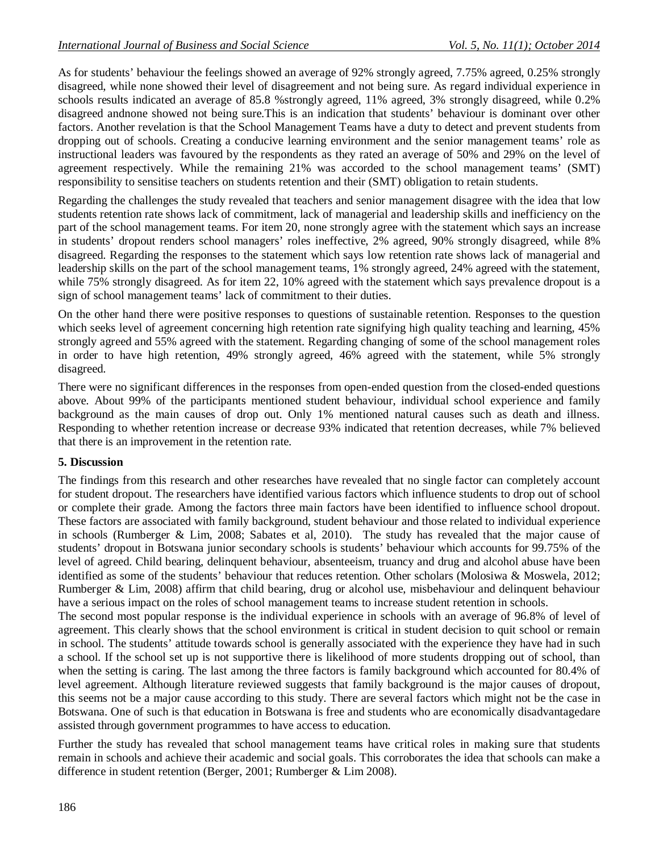As for students' behaviour the feelings showed an average of 92% strongly agreed, 7.75% agreed, 0.25% strongly disagreed, while none showed their level of disagreement and not being sure. As regard individual experience in schools results indicated an average of 85.8 %strongly agreed, 11% agreed, 3% strongly disagreed, while 0.2% disagreed andnone showed not being sure.This is an indication that students' behaviour is dominant over other factors. Another revelation is that the School Management Teams have a duty to detect and prevent students from dropping out of schools. Creating a conducive learning environment and the senior management teams' role as instructional leaders was favoured by the respondents as they rated an average of 50% and 29% on the level of agreement respectively. While the remaining 21% was accorded to the school management teams' (SMT) responsibility to sensitise teachers on students retention and their (SMT) obligation to retain students.

Regarding the challenges the study revealed that teachers and senior management disagree with the idea that low students retention rate shows lack of commitment, lack of managerial and leadership skills and inefficiency on the part of the school management teams. For item 20, none strongly agree with the statement which says an increase in students' dropout renders school managers' roles ineffective, 2% agreed, 90% strongly disagreed, while 8% disagreed. Regarding the responses to the statement which says low retention rate shows lack of managerial and leadership skills on the part of the school management teams, 1% strongly agreed, 24% agreed with the statement, while 75% strongly disagreed. As for item 22, 10% agreed with the statement which says prevalence dropout is a sign of school management teams' lack of commitment to their duties.

On the other hand there were positive responses to questions of sustainable retention. Responses to the question which seeks level of agreement concerning high retention rate signifying high quality teaching and learning,  $45\%$ strongly agreed and 55% agreed with the statement. Regarding changing of some of the school management roles in order to have high retention, 49% strongly agreed, 46% agreed with the statement, while 5% strongly disagreed.

There were no significant differences in the responses from open-ended question from the closed-ended questions above. About 99% of the participants mentioned student behaviour, individual school experience and family background as the main causes of drop out. Only 1% mentioned natural causes such as death and illness. Responding to whether retention increase or decrease 93% indicated that retention decreases, while 7% believed that there is an improvement in the retention rate.

### **5. Discussion**

The findings from this research and other researches have revealed that no single factor can completely account for student dropout. The researchers have identified various factors which influence students to drop out of school or complete their grade. Among the factors three main factors have been identified to influence school dropout. These factors are associated with family background, student behaviour and those related to individual experience in schools (Rumberger & Lim, 2008; Sabates et al, 2010). The study has revealed that the major cause of students' dropout in Botswana junior secondary schools is students' behaviour which accounts for 99.75% of the level of agreed. Child bearing, delinquent behaviour, absenteeism, truancy and drug and alcohol abuse have been identified as some of the students' behaviour that reduces retention. Other scholars (Molosiwa & Moswela, 2012; Rumberger & Lim, 2008) affirm that child bearing, drug or alcohol use, misbehaviour and delinquent behaviour have a serious impact on the roles of school management teams to increase student retention in schools.

The second most popular response is the individual experience in schools with an average of 96.8% of level of agreement. This clearly shows that the school environment is critical in student decision to quit school or remain in school. The students' attitude towards school is generally associated with the experience they have had in such a school. If the school set up is not supportive there is likelihood of more students dropping out of school, than when the setting is caring. The last among the three factors is family background which accounted for 80.4% of level agreement. Although literature reviewed suggests that family background is the major causes of dropout, this seems not be a major cause according to this study. There are several factors which might not be the case in Botswana. One of such is that education in Botswana is free and students who are economically disadvantagedare assisted through government programmes to have access to education.

Further the study has revealed that school management teams have critical roles in making sure that students remain in schools and achieve their academic and social goals. This corroborates the idea that schools can make a difference in student retention (Berger, 2001; Rumberger & Lim 2008).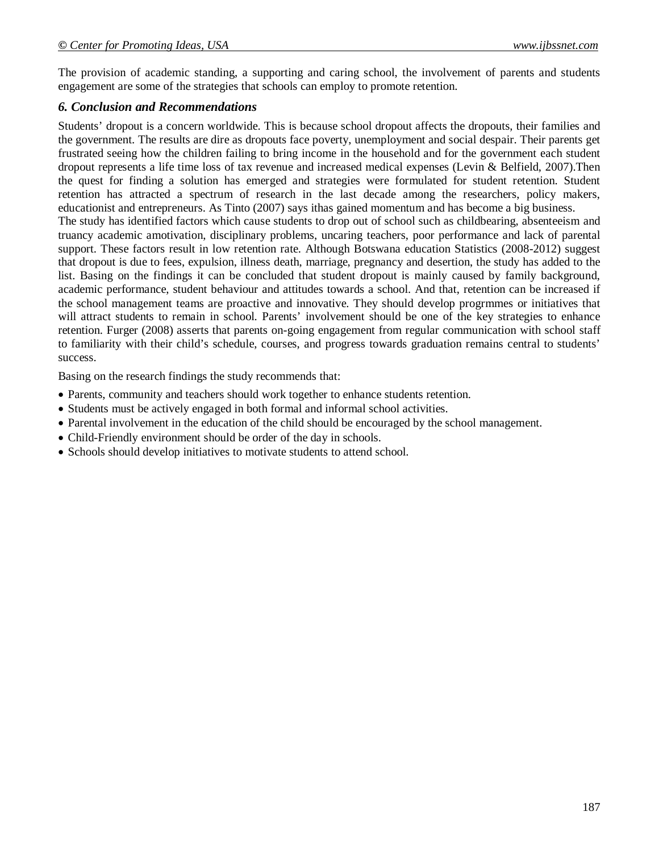The provision of academic standing, a supporting and caring school, the involvement of parents and students engagement are some of the strategies that schools can employ to promote retention.

### *6. Conclusion and Recommendations*

Students' dropout is a concern worldwide. This is because school dropout affects the dropouts, their families and the government. The results are dire as dropouts face poverty, unemployment and social despair. Their parents get frustrated seeing how the children failing to bring income in the household and for the government each student dropout represents a life time loss of tax revenue and increased medical expenses (Levin & Belfield, 2007).Then the quest for finding a solution has emerged and strategies were formulated for student retention. Student retention has attracted a spectrum of research in the last decade among the researchers, policy makers, educationist and entrepreneurs. As Tinto (2007) says ithas gained momentum and has become a big business. The study has identified factors which cause students to drop out of school such as childbearing, absenteeism and truancy academic amotivation, disciplinary problems, uncaring teachers, poor performance and lack of parental support. These factors result in low retention rate. Although Botswana education Statistics (2008-2012) suggest that dropout is due to fees, expulsion, illness death, marriage, pregnancy and desertion, the study has added to the list. Basing on the findings it can be concluded that student dropout is mainly caused by family background, academic performance, student behaviour and attitudes towards a school. And that, retention can be increased if the school management teams are proactive and innovative. They should develop progrmmes or initiatives that will attract students to remain in school. Parents' involvement should be one of the key strategies to enhance retention. Furger (2008) asserts that parents on-going engagement from regular communication with school staff to familiarity with their child's schedule, courses, and progress towards graduation remains central to students'

Basing on the research findings the study recommends that:

success.

- Parents, community and teachers should work together to enhance students retention.
- Students must be actively engaged in both formal and informal school activities.
- Parental involvement in the education of the child should be encouraged by the school management.
- Child-Friendly environment should be order of the day in schools.
- Schools should develop initiatives to motivate students to attend school.